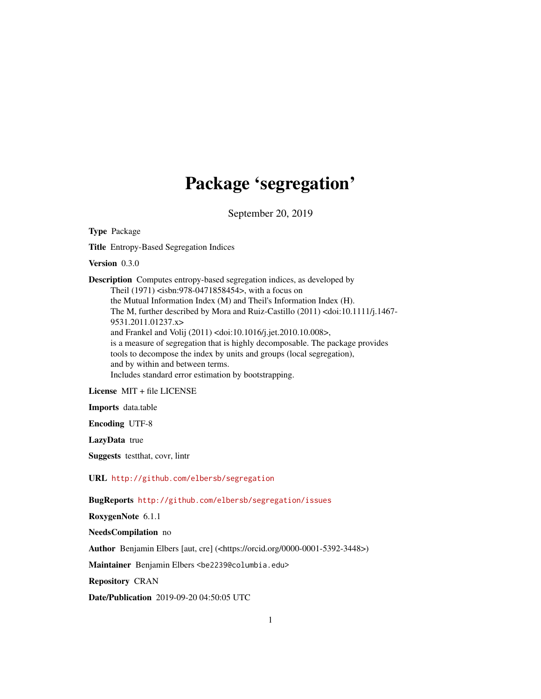## Package 'segregation'

September 20, 2019

Type Package

Title Entropy-Based Segregation Indices

Version 0.3.0

Description Computes entropy-based segregation indices, as developed by Theil (1971) <isbn:978-0471858454>, with a focus on the Mutual Information Index (M) and Theil's Information Index (H). The M, further described by Mora and Ruiz-Castillo (2011) <doi:10.1111/j.1467- 9531.2011.01237.x> and Frankel and Volij (2011) <doi:10.1016/j.jet.2010.10.008>, is a measure of segregation that is highly decomposable. The package provides tools to decompose the index by units and groups (local segregation), and by within and between terms. Includes standard error estimation by bootstrapping.

License MIT + file LICENSE

Imports data.table

Encoding UTF-8

LazyData true

Suggests testthat, covr, lintr

URL <http://github.com/elbersb/segregation>

BugReports <http://github.com/elbersb/segregation/issues>

RoxygenNote 6.1.1

NeedsCompilation no

Author Benjamin Elbers [aut, cre] (<https://orcid.org/0000-0001-5392-3448>)

Maintainer Benjamin Elbers <be2239@columbia.edu>

Repository CRAN

Date/Publication 2019-09-20 04:50:05 UTC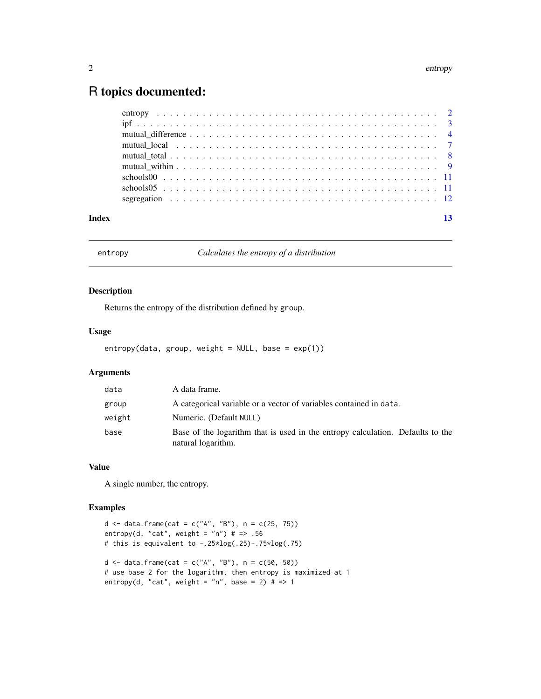### <span id="page-1-0"></span>R topics documented:

| Index |  |
|-------|--|

entropy *Calculates the entropy of a distribution*

#### Description

Returns the entropy of the distribution defined by group.

#### Usage

entropy(data, group, weight = NULL, base =  $exp(1)$ )

#### Arguments

| data   | A data frame.                                                                                        |
|--------|------------------------------------------------------------------------------------------------------|
| group  | A categorical variable or a vector of variables contained in data.                                   |
| weight | Numeric. (Default NULL)                                                                              |
| base   | Base of the logarithm that is used in the entropy calculation. Defaults to the<br>natural logarithm. |

#### Value

A single number, the entropy.

#### Examples

```
d <- data.frame(cat = c("A", "B"), n = c(25, 75))
entropy(d, "cat", weight = "n") # => .56
# this is equivalent to -.25*log(.25)-.75*log(.75)
d <- data.frame(cat = c("A", "B"), n = c(50, 50))
# use base 2 for the logarithm, then entropy is maximized at 1
entropy(d, "cat", weight = "n", base = 2) # = > 1
```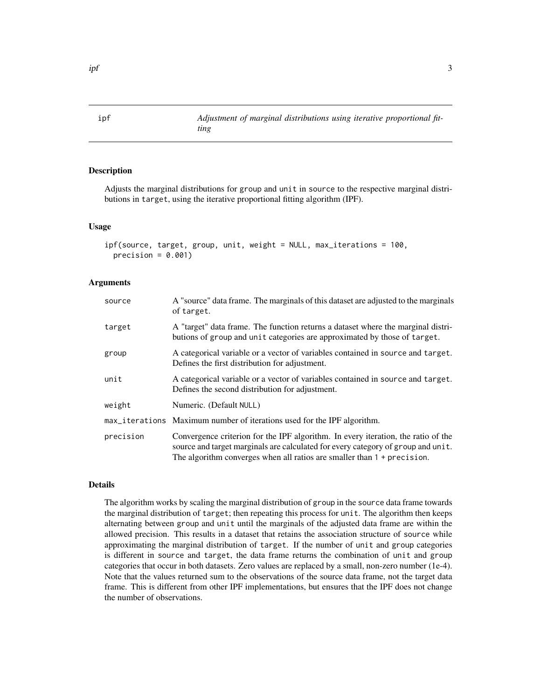<span id="page-2-1"></span><span id="page-2-0"></span>ipf *Adjustment of marginal distributions using iterative proportional fitting*

#### Description

Adjusts the marginal distributions for group and unit in source to the respective marginal distributions in target, using the iterative proportional fitting algorithm (IPF).

#### Usage

```
ipf(source, target, group, unit, weight = NULL, max_iterations = 100,
 precision = 0.001)
```
#### Arguments

| source    | A "source" data frame. The marginals of this dataset are adjusted to the marginals<br>of target.                                                                                                                                                           |
|-----------|------------------------------------------------------------------------------------------------------------------------------------------------------------------------------------------------------------------------------------------------------------|
| target    | A "target" data frame. The function returns a dataset where the marginal distri-<br>butions of group and unit categories are approximated by those of target.                                                                                              |
| group     | A categorical variable or a vector of variables contained in source and target.<br>Defines the first distribution for adjustment.                                                                                                                          |
| unit      | A categorical variable or a vector of variables contained in source and target.<br>Defines the second distribution for adjustment.                                                                                                                         |
| weight    | Numeric. (Default NULL)                                                                                                                                                                                                                                    |
|           | max_iterations Maximum number of iterations used for the IPF algorithm.                                                                                                                                                                                    |
| precision | Convergence criterion for the IPF algorithm. In every iteration, the ratio of the<br>source and target marginals are calculated for every category of group and unit.<br>The algorithm converges when all ratios are smaller than $1 + \text{precision}$ . |

#### Details

The algorithm works by scaling the marginal distribution of group in the source data frame towards the marginal distribution of target; then repeating this process for unit. The algorithm then keeps alternating between group and unit until the marginals of the adjusted data frame are within the allowed precision. This results in a dataset that retains the association structure of source while approximating the marginal distribution of target. If the number of unit and group categories is different in source and target, the data frame returns the combination of unit and group categories that occur in both datasets. Zero values are replaced by a small, non-zero number (1e-4). Note that the values returned sum to the observations of the source data frame, not the target data frame. This is different from other IPF implementations, but ensures that the IPF does not change the number of observations.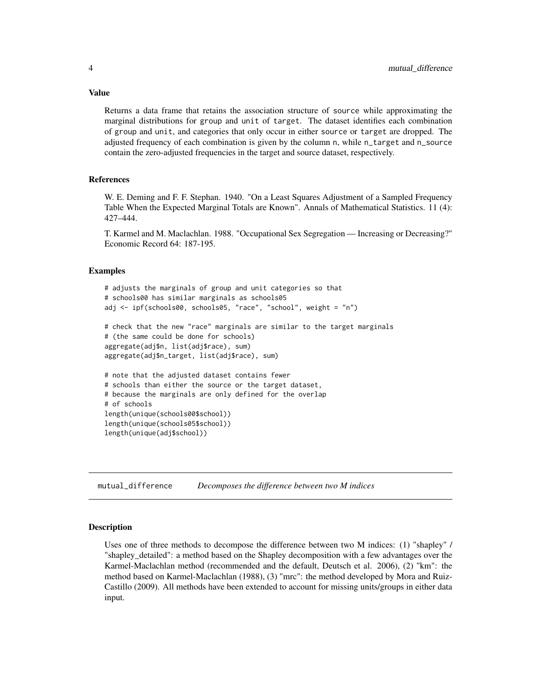Returns a data frame that retains the association structure of source while approximating the marginal distributions for group and unit of target. The dataset identifies each combination of group and unit, and categories that only occur in either source or target are dropped. The adjusted frequency of each combination is given by the column n, while n\_target and n\_source contain the zero-adjusted frequencies in the target and source dataset, respectively.

#### References

W. E. Deming and F. F. Stephan. 1940. "On a Least Squares Adjustment of a Sampled Frequency Table When the Expected Marginal Totals are Known". Annals of Mathematical Statistics. 11 (4): 427–444.

T. Karmel and M. Maclachlan. 1988. "Occupational Sex Segregation — Increasing or Decreasing?" Economic Record 64: 187-195.

#### Examples

```
# adjusts the marginals of group and unit categories so that
# schools00 has similar marginals as schools05
adj <- ipf(schools00, schools05, "race", "school", weight = "n")
# check that the new "race" marginals are similar to the target marginals
# (the same could be done for schools)
aggregate(adj$n, list(adj$race), sum)
aggregate(adj$n_target, list(adj$race), sum)
# note that the adjusted dataset contains fewer
# schools than either the source or the target dataset,
# because the marginals are only defined for the overlap
# of schools
length(unique(schools00$school))
length(unique(schools05$school))
length(unique(adj$school))
```
mutual\_difference *Decomposes the difference between two M indices*

#### Description

Uses one of three methods to decompose the difference between two M indices: (1) "shapley" / "shapley\_detailed": a method based on the Shapley decomposition with a few advantages over the Karmel-Maclachlan method (recommended and the default, Deutsch et al. 2006), (2) "km": the method based on Karmel-Maclachlan (1988), (3) "mrc": the method developed by Mora and Ruiz-Castillo (2009). All methods have been extended to account for missing units/groups in either data input.

<span id="page-3-0"></span>

#### Value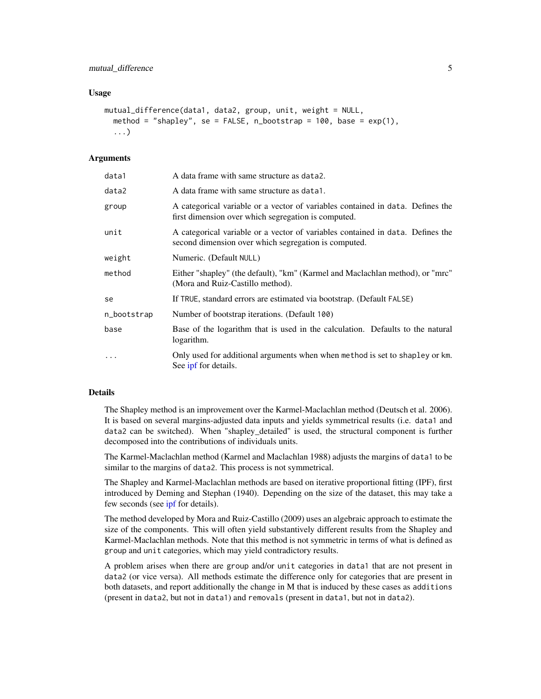#### <span id="page-4-0"></span>Usage

```
mutual_difference(data1, data2, group, unit, weight = NULL,
  method = "shapley", se = FALSE, n_bootstrap = 100, base = exp(1),
  ...)
```
#### Arguments

| data1       | A data frame with same structure as data2.                                                                                             |
|-------------|----------------------------------------------------------------------------------------------------------------------------------------|
| data2       | A data frame with same structure as data1.                                                                                             |
| group       | A categorical variable or a vector of variables contained in data. Defines the<br>first dimension over which segregation is computed.  |
| unit        | A categorical variable or a vector of variables contained in data. Defines the<br>second dimension over which segregation is computed. |
| weight      | Numeric. (Default NULL)                                                                                                                |
| method      | Either "shapley" (the default), "km" (Karmel and Maclachlan method), or "mrc"<br>(Mora and Ruiz-Castillo method).                      |
| se          | If TRUE, standard errors are estimated via bootstrap. (Default FALSE)                                                                  |
| n_bootstrap | Number of bootstrap iterations. (Default 100)                                                                                          |
| base        | Base of the logarithm that is used in the calculation. Defaults to the natural<br>logarithm.                                           |
| $\ddotsc$   | Only used for additional arguments when when method is set to shapley or km.<br>See ipf for details.                                   |

#### Details

The Shapley method is an improvement over the Karmel-Maclachlan method (Deutsch et al. 2006). It is based on several margins-adjusted data inputs and yields symmetrical results (i.e. data1 and data2 can be switched). When "shapley\_detailed" is used, the structural component is further decomposed into the contributions of individuals units.

The Karmel-Maclachlan method (Karmel and Maclachlan 1988) adjusts the margins of data1 to be similar to the margins of data2. This process is not symmetrical.

The Shapley and Karmel-Maclachlan methods are based on iterative proportional fitting (IPF), first introduced by Deming and Stephan (1940). Depending on the size of the dataset, this may take a few seconds (see [ipf](#page-2-1) for details).

The method developed by Mora and Ruiz-Castillo (2009) uses an algebraic approach to estimate the size of the components. This will often yield substantively different results from the Shapley and Karmel-Maclachlan methods. Note that this method is not symmetric in terms of what is defined as group and unit categories, which may yield contradictory results.

A problem arises when there are group and/or unit categories in data1 that are not present in data2 (or vice versa). All methods estimate the difference only for categories that are present in both datasets, and report additionally the change in M that is induced by these cases as additions (present in data2, but not in data1) and removals (present in data1, but not in data2).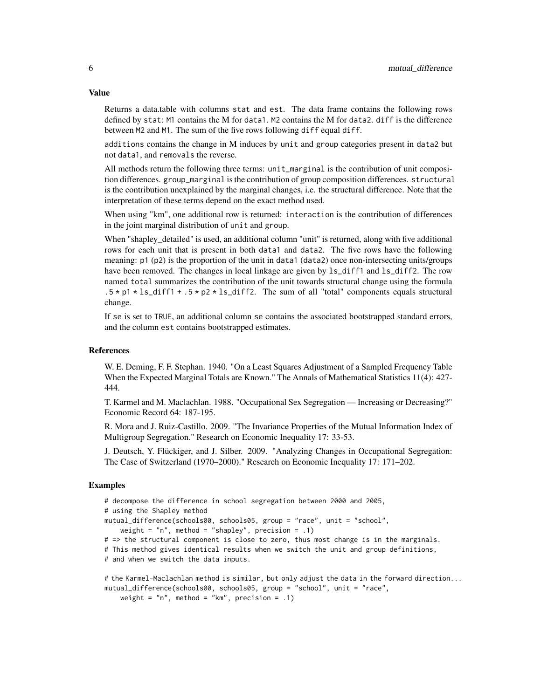Returns a data.table with columns stat and est. The data frame contains the following rows defined by stat: M1 contains the M for data1. M2 contains the M for data2. diff is the difference between M2 and M1. The sum of the five rows following diff equal diff.

additions contains the change in M induces by unit and group categories present in data2 but not data1, and removals the reverse.

All methods return the following three terms: unit\_marginal is the contribution of unit composition differences. group\_marginal is the contribution of group composition differences. structural is the contribution unexplained by the marginal changes, i.e. the structural difference. Note that the interpretation of these terms depend on the exact method used.

When using "km", one additional row is returned: interaction is the contribution of differences in the joint marginal distribution of unit and group.

When "shapley\_detailed" is used, an additional column "unit" is returned, along with five additional rows for each unit that is present in both data1 and data2. The five rows have the following meaning: p1 (p2) is the proportion of the unit in data1 (data2) once non-intersecting units/groups have been removed. The changes in local linkage are given by  $ls\_diff1$  and  $ls\_diff2$ . The row named total summarizes the contribution of the unit towards structural change using the formula  $.5 \times p1 \times \text{ls}_d$  if f1 +  $.5 \times p2 \times \text{ls}_d$  if f2. The sum of all "total" components equals structural change.

If se is set to TRUE, an additional column se contains the associated bootstrapped standard errors, and the column est contains bootstrapped estimates.

#### References

W. E. Deming, F. F. Stephan. 1940. "On a Least Squares Adjustment of a Sampled Frequency Table When the Expected Marginal Totals are Known." The Annals of Mathematical Statistics 11(4): 427- 444.

T. Karmel and M. Maclachlan. 1988. "Occupational Sex Segregation — Increasing or Decreasing?" Economic Record 64: 187-195.

R. Mora and J. Ruiz-Castillo. 2009. "The Invariance Properties of the Mutual Information Index of Multigroup Segregation." Research on Economic Inequality 17: 33-53.

J. Deutsch, Y. Flückiger, and J. Silber. 2009. "Analyzing Changes in Occupational Segregation: The Case of Switzerland (1970–2000)." Research on Economic Inequality 17: 171–202.

#### Examples

```
# decompose the difference in school segregation between 2000 and 2005,
# using the Shapley method
mutual_difference(schools00, schools05, group = "race", unit = "school",
   weight = "n", method = "shapley", precision = .1)
# => the structural component is close to zero, thus most change is in the marginals.
# This method gives identical results when we switch the unit and group definitions,
# and when we switch the data inputs.
# the Karmel-Maclachlan method is similar, but only adjust the data in the forward direction...
```
mutual\_difference(schools00, schools05, group = "school", unit = "race", weight =  $"n"$ , method =  $"km"$ , precision = .1)

#### Value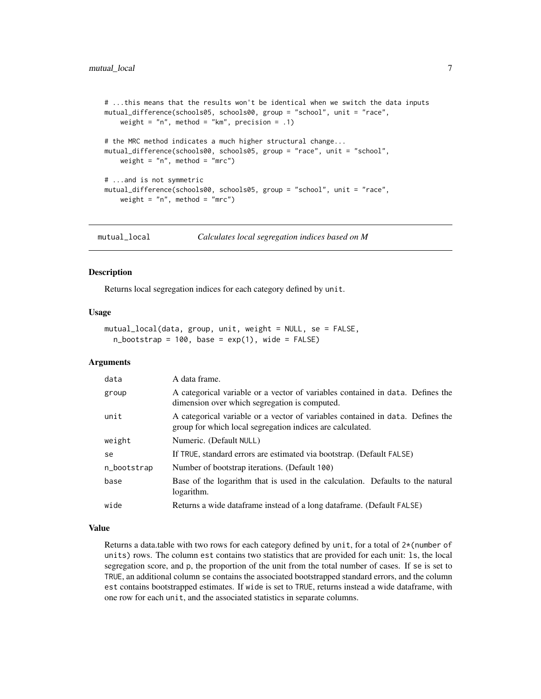```
# ...this means that the results won't be identical when we switch the data inputs
mutual_difference(schools05, schools00, group = "school", unit = "race",
   weight = "n", method = "km", precision = .1)
# the MRC method indicates a much higher structural change...
mutual_difference(schools00, schools05, group = "race", unit = "school",
   weight = "n", method = "mrc")
# ...and is not symmetric
mutual_difference(schools00, schools05, group = "school", unit = "race",
    weight = "n", method = "mrc")
```
mutual\_local *Calculates local segregation indices based on M*

#### Description

Returns local segregation indices for each category defined by unit.

#### Usage

```
mutual_local(data, group, unit, weight = NULL, se = FALSE,
  n_bootstrap = 100, base = exp(1), wide = FALSE)
```
#### Arguments

| data        | A data frame.                                                                                                                               |
|-------------|---------------------------------------------------------------------------------------------------------------------------------------------|
| group       | A categorical variable or a vector of variables contained in data. Defines the<br>dimension over which segregation is computed.             |
| unit        | A categorical variable or a vector of variables contained in data. Defines the<br>group for which local segregation indices are calculated. |
| weight      | Numeric. (Default NULL)                                                                                                                     |
| se          | If TRUE, standard errors are estimated via bootstrap. (Default FALSE)                                                                       |
| n_bootstrap | Number of bootstrap iterations. (Default 100)                                                                                               |
| base        | Base of the logarithm that is used in the calculation. Defaults to the natural<br>logarithm.                                                |
| wide        | Returns a wide dataframe instead of a long dataframe. (Default FALSE)                                                                       |

#### Value

Returns a data.table with two rows for each category defined by unit, for a total of  $2*(\text{number of}$ units) rows. The column est contains two statistics that are provided for each unit: ls, the local segregation score, and p, the proportion of the unit from the total number of cases. If se is set to TRUE, an additional column se contains the associated bootstrapped standard errors, and the column est contains bootstrapped estimates. If wide is set to TRUE, returns instead a wide dataframe, with one row for each unit, and the associated statistics in separate columns.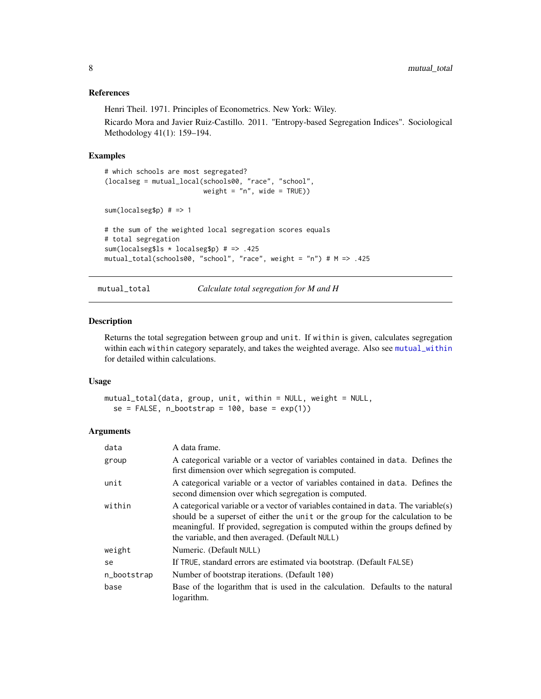#### <span id="page-7-0"></span>References

Henri Theil. 1971. Principles of Econometrics. New York: Wiley.

Ricardo Mora and Javier Ruiz-Castillo. 2011. "Entropy-based Segregation Indices". Sociological Methodology 41(1): 159–194.

#### Examples

```
# which schools are most segregated?
(localseg = mutual_local(schools00, "race", "school",
                         weight = "n", wide = TRUE))
sum(localseg$p) # => 1
# the sum of the weighted local segregation scores equals
# total segregation
sum(localseg$ls * localseg$p) # => .425
mutual_total(schools00, "school", "race", weight = "n") # M => .425
```

```
mutual_total Calculate total segregation for M and H
```
#### Description

Returns the total segregation between group and unit. If within is given, calculates segregation within each within category separately, and takes the weighted average. Also see [mutual\\_within](#page-8-1) for detailed within calculations.

#### Usage

```
mutual_total(data, group, unit, within = NULL, weight = NULL,
  se = FALSE, n\_bootstrap = 100, base = exp(1)
```
#### Arguments

| data        | A data frame.                                                                                                                                                                                                                                                                                            |
|-------------|----------------------------------------------------------------------------------------------------------------------------------------------------------------------------------------------------------------------------------------------------------------------------------------------------------|
| group       | A categorical variable or a vector of variables contained in data. Defines the<br>first dimension over which segregation is computed.                                                                                                                                                                    |
| unit        | A categorical variable or a vector of variables contained in data. Defines the<br>second dimension over which segregation is computed.                                                                                                                                                                   |
| within      | A categorical variable or a vector of variables contained in data. The variable(s)<br>should be a superset of either the unit or the group for the calculation to be<br>meaningful. If provided, segregation is computed within the groups defined by<br>the variable, and then averaged. (Default NULL) |
| weight      | Numeric. (Default NULL)                                                                                                                                                                                                                                                                                  |
| se          | If TRUE, standard errors are estimated via bootstrap. (Default FALSE)                                                                                                                                                                                                                                    |
| n_bootstrap | Number of bootstrap iterations. (Default 100)                                                                                                                                                                                                                                                            |
| base        | Base of the logarithm that is used in the calculation. Defaults to the natural<br>logarithm.                                                                                                                                                                                                             |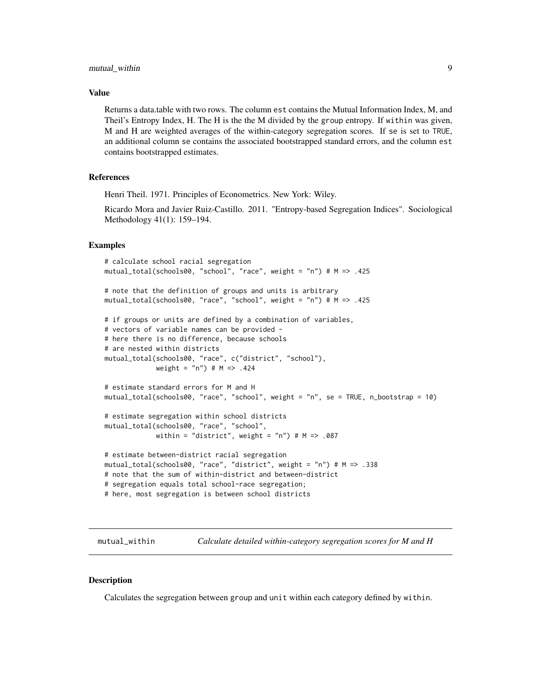#### <span id="page-8-0"></span>Value

Returns a data.table with two rows. The column est contains the Mutual Information Index, M, and Theil's Entropy Index, H. The H is the the M divided by the group entropy. If within was given, M and H are weighted averages of the within-category segregation scores. If se is set to TRUE, an additional column se contains the associated bootstrapped standard errors, and the column est contains bootstrapped estimates.

#### References

Henri Theil. 1971. Principles of Econometrics. New York: Wiley.

Ricardo Mora and Javier Ruiz-Castillo. 2011. "Entropy-based Segregation Indices". Sociological Methodology 41(1): 159–194.

#### Examples

```
# calculate school racial segregation
mutual_total(schools00, "school", "race", weight = "n") # M => .425
# note that the definition of groups and units is arbitrary
mutual_total(schools00, "race", "school", weight = "n") # M => .425
# if groups or units are defined by a combination of variables,
# vectors of variable names can be provided -
# here there is no difference, because schools
# are nested within districts
mutual_total(schools00, "race", c("district", "school"),
             weight = "n") # M => .424
# estimate standard errors for M and H
mutual_total(schools00, "race", "school", weight = "n", se = TRUE, n_bootstrap = 10)
# estimate segregation within school districts
mutual_total(schools00, "race", "school",
             within = "district", weight = "n") # M => .087
# estimate between-district racial segregation
mutual_total(schools00, "race", "district", weight = "n") # M => .338
# note that the sum of within-district and between-district
# segregation equals total school-race segregation;
# here, most segregation is between school districts
```
<span id="page-8-1"></span>mutual\_within *Calculate detailed within-category segregation scores for M and H*

#### **Description**

Calculates the segregation between group and unit within each category defined by within.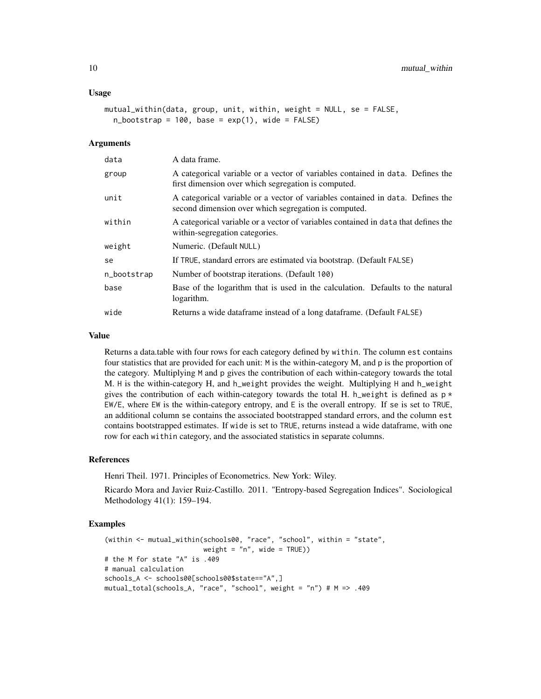#### Usage

```
mutual_within(data, group, unit, within, weight = NULL, se = FALSE,
  n_bootstrap = 100, base = exp(1), wide = FALSE)
```
#### **Arguments**

| data        | A data frame.                                                                                                                          |
|-------------|----------------------------------------------------------------------------------------------------------------------------------------|
| group       | A categorical variable or a vector of variables contained in data. Defines the<br>first dimension over which segregation is computed.  |
| unit        | A categorical variable or a vector of variables contained in data. Defines the<br>second dimension over which segregation is computed. |
| within      | A categorical variable or a vector of variables contained in data that defines the<br>within-segregation categories.                   |
| weight      | Numeric. (Default NULL)                                                                                                                |
| se          | If TRUE, standard errors are estimated via bootstrap. (Default FALSE)                                                                  |
| n_bootstrap | Number of bootstrap iterations. (Default 100)                                                                                          |
| base        | Base of the logarithm that is used in the calculation. Defaults to the natural<br>logarithm.                                           |
| wide        | Returns a wide dataframe instead of a long dataframe. (Default FALSE)                                                                  |

#### Value

Returns a data.table with four rows for each category defined by within. The column est contains four statistics that are provided for each unit: M is the within-category M, and p is the proportion of the category. Multiplying M and p gives the contribution of each within-category towards the total M. H is the within-category H, and h\_weight provides the weight. Multiplying H and h\_weight gives the contribution of each within-category towards the total H. h\_weight is defined as  $p *$ EW/E, where EW is the within-category entropy, and E is the overall entropy. If se is set to TRUE, an additional column se contains the associated bootstrapped standard errors, and the column est contains bootstrapped estimates. If wide is set to TRUE, returns instead a wide dataframe, with one row for each within category, and the associated statistics in separate columns.

#### References

Henri Theil. 1971. Principles of Econometrics. New York: Wiley.

Ricardo Mora and Javier Ruiz-Castillo. 2011. "Entropy-based Segregation Indices". Sociological Methodology 41(1): 159–194.

#### Examples

```
(within <- mutual_within(schools00, "race", "school", within = "state",
                         weight = "n", wide = TRUE))
# the M for state "A" is .409
# manual calculation
schools_A <- schools00[schools00$state=="A",]
mutual_total(schools_A, "race", "school", weight = "n") # M => .409
```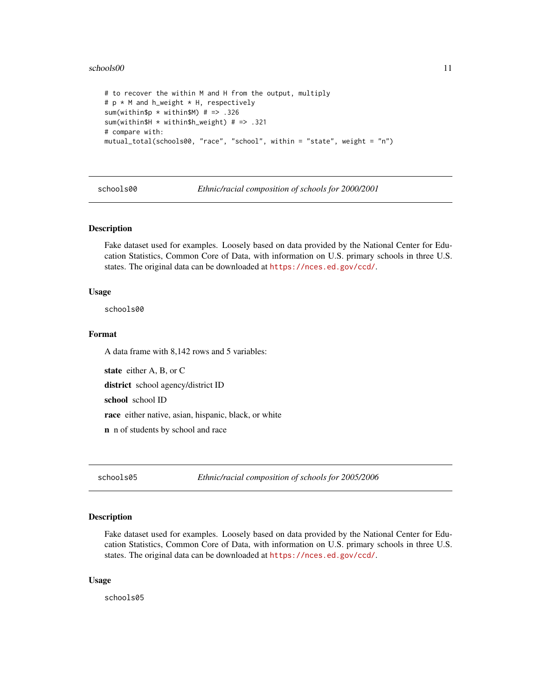#### <span id="page-10-0"></span>schools00 11

```
# to recover the within M and H from the output, multiply
# p * M and h_weight * H, respectively
sum(within$p * within$M) # => .326
sum(within$H * within$h_weight) # => .321
# compare with:
mutual_total(schools00, "race", "school", within = "state", weight = "n")
```
schools00 *Ethnic/racial composition of schools for 2000/2001*

#### Description

Fake dataset used for examples. Loosely based on data provided by the National Center for Education Statistics, Common Core of Data, with information on U.S. primary schools in three U.S. states. The original data can be downloaded at <https://nces.ed.gov/ccd/>.

#### Usage

schools00

#### Format

A data frame with 8,142 rows and 5 variables:

state either A, B, or C

district school agency/district ID

school school ID

race either native, asian, hispanic, black, or white

n n of students by school and race

schools05 *Ethnic/racial composition of schools for 2005/2006*

#### Description

Fake dataset used for examples. Loosely based on data provided by the National Center for Education Statistics, Common Core of Data, with information on U.S. primary schools in three U.S. states. The original data can be downloaded at <https://nces.ed.gov/ccd/>.

#### Usage

schools05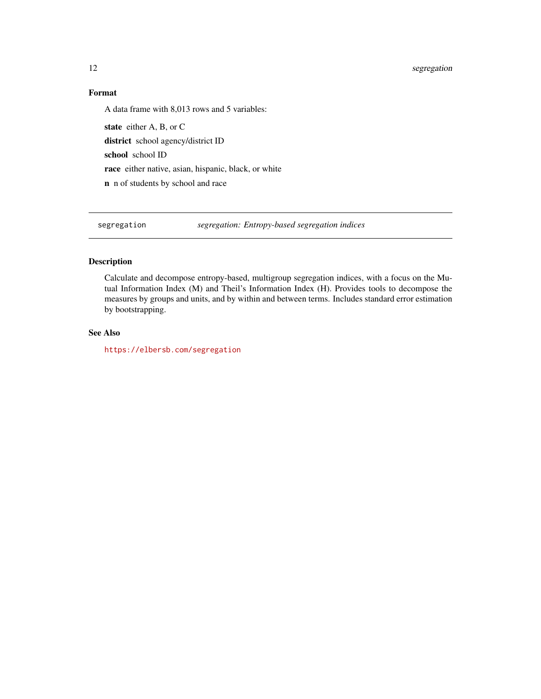#### <span id="page-11-0"></span>12 segregation

#### Format

A data frame with 8,013 rows and 5 variables:

state either A, B, or C district school agency/district ID school school ID race either native, asian, hispanic, black, or white n n of students by school and race

segregation *segregation: Entropy-based segregation indices*

#### Description

Calculate and decompose entropy-based, multigroup segregation indices, with a focus on the Mutual Information Index (M) and Theil's Information Index (H). Provides tools to decompose the measures by groups and units, and by within and between terms. Includes standard error estimation by bootstrapping.

#### See Also

<https://elbersb.com/segregation>